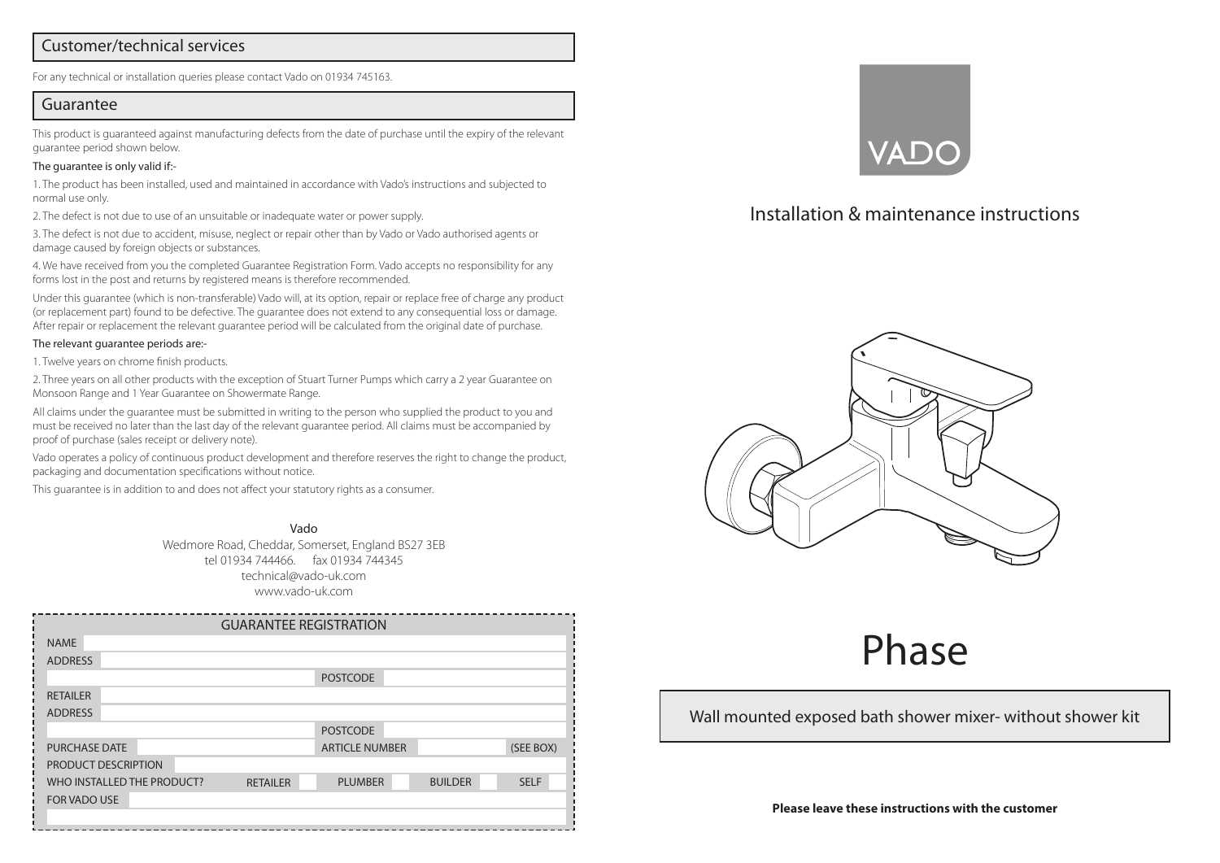#### Customer/technical services

For any technical or installation queries please contact Vado on 01934 745163.

#### Guarantee

This product is guaranteed against manufacturing defects from the date of purchase until the expiry of the relevant guarantee period shown below.

#### The guarantee is only valid if:-

1. The product has been installed, used and maintained in accordance with Vado's instructions and subjected to normal use only.

2. The defect is not due to use of an unsuitable or inadequate water or power supply.

3. The defect is not due to accident, misuse, neglect or repair other than by Vado or Vado authorised agents or damage caused by foreign objects or substances.

4. We have received from you the completed Guarantee Registration Form. Vado accepts no responsibility for any forms lost in the post and returns by registered means is therefore recommended.

Under this guarantee (which is non-transferable) Vado will, at its option, repair or replace free of charge any product (or replacement part) found to be defective. The guarantee does not extend to any consequential loss or damage. After repair or replacement the relevant guarantee period will be calculated from the original date of purchase.

#### The relevant guarantee periods are:-

1. Twelve years on chrome finish products.

2. Three years on all other products with the exception of Stuart Turner Pumps which carry a 2 year Guarantee on Monsoon Range and 1 Year Guarantee on Showermate Range.

All claims under the guarantee must be submitted in writing to the person who supplied the product to you and must be received no later than the last day of the relevant guarantee period. All claims must be accompanied by proof of purchase (sales receipt or delivery note).

Vado operates a policy of continuous product development and therefore reserves the right to change the product, packaging and documentation specifications without notice.

This guarantee is in addition to and does not affect your statutory rights as a consumer.

Vado Wedmore Road, Cheddar, Somerset, England BS27 3EB tel 01934 744466. fax 01934 744345 technical@vado-uk.com www.vado-uk.com

| <b>GUARANTEE REGISTRATION</b> |                 |                 |                       |                |             |
|-------------------------------|-----------------|-----------------|-----------------------|----------------|-------------|
| <b>NAME</b>                   |                 |                 |                       |                |             |
| <b>ADDRESS</b>                |                 |                 |                       |                |             |
|                               | <b>POSTCODE</b> |                 |                       |                |             |
| <b>RETAILER</b>               |                 |                 |                       |                |             |
| <b>ADDRESS</b>                |                 |                 |                       |                |             |
|                               |                 |                 | <b>POSTCODE</b>       |                |             |
| <b>PURCHASE DATE</b>          |                 |                 | <b>ARTICLE NUMBER</b> |                | (SEE BOX)   |
| PRODUCT DESCRIPTION           |                 |                 |                       |                |             |
| WHO INSTALLED THE PRODUCT?    |                 | <b>RETAILER</b> | <b>PLUMBER</b>        | <b>BUILDER</b> | <b>SELF</b> |
| <b>FOR VADO USE</b>           |                 |                 |                       |                |             |
|                               |                 |                 |                       |                |             |



# Installation & maintenance instructions



# Phase

#### Wall mounted exposed bath shower mixer- without shower kit

**Please leave these instructions with the customer**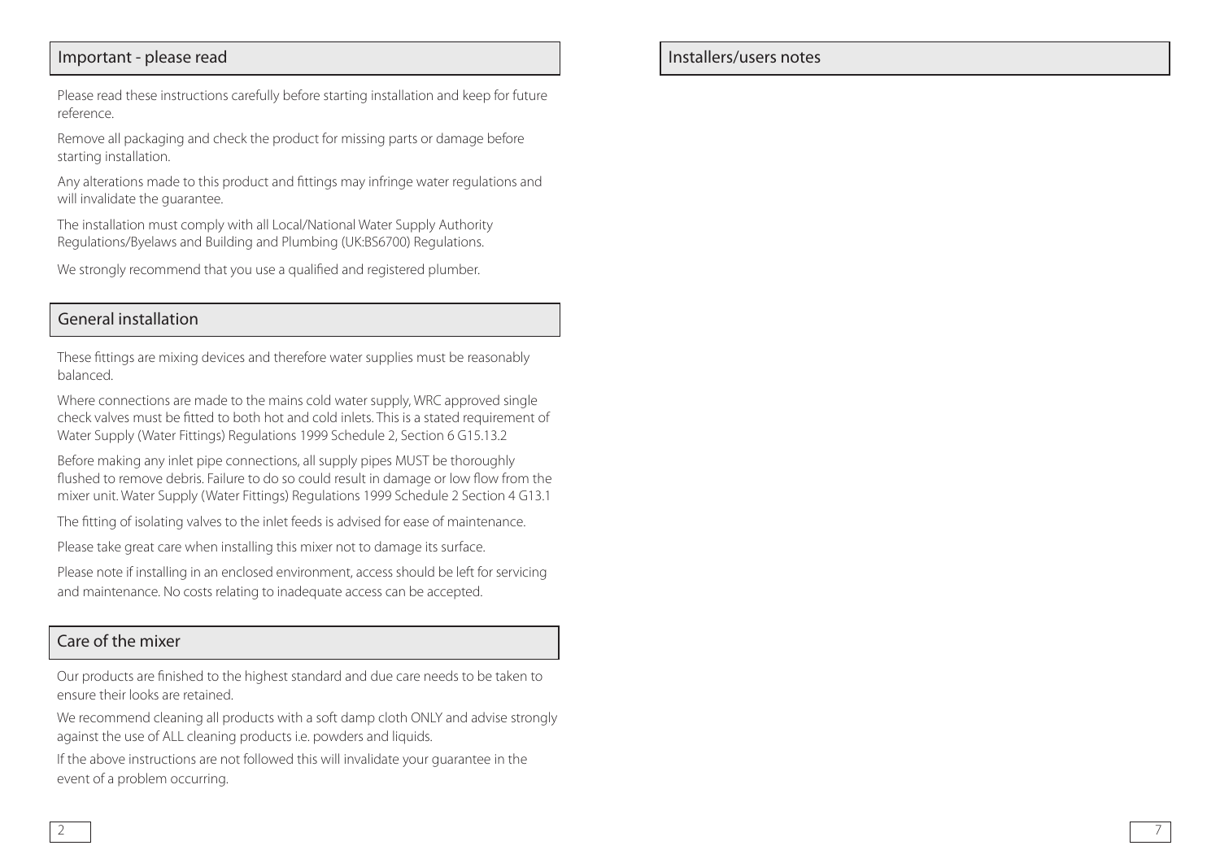## Important - please read

Please read these instructions carefully before starting installation and keep for future reference.

Remove all packaging and check the product for missing parts or damage before starting installation.

Any alterations made to this product and fittings may infringe water regulations and will invalidate the guarantee.

The installation must comply with all Local/National Water Supply Authority Regulations/Byelaws and Building and Plumbing (UK:BS6700) Regulations.

We strongly recommend that you use a qualified and registered plumber.

## General installation

These fittings are mixing devices and therefore water supplies must be reasonably balanced.

Where connections are made to the mains cold water supply, WRC approved single check valves must be fitted to both hot and cold inlets. This is a stated requirement of Water Supply (Water Fittings) Regulations 1999 Schedule 2, Section 6 G15.13.2

Before making any inlet pipe connections, all supply pipes MUST be thoroughly flushed to remove debris. Failure to do so could result in damage or low flow from the mixer unit. Water Supply (Water Fittings) Regulations 1999 Schedule 2 Section 4 G13.1

The fitting of isolating valves to the inlet feeds is advised for ease of maintenance.

Please take great care when installing this mixer not to damage its surface.

Please note if installing in an enclosed environment, access should be left for servicing and maintenance. No costs relating to inadequate access can be accepted.

### Care of the mixer

Our products are finished to the highest standard and due care needs to be taken to ensure their looks are retained.

We recommend cleaning all products with a soft damp cloth ONLY and advise strongly against the use of ALL cleaning products i.e. powders and liquids.

If the above instructions are not followed this will invalidate your guarantee in the event of a problem occurring.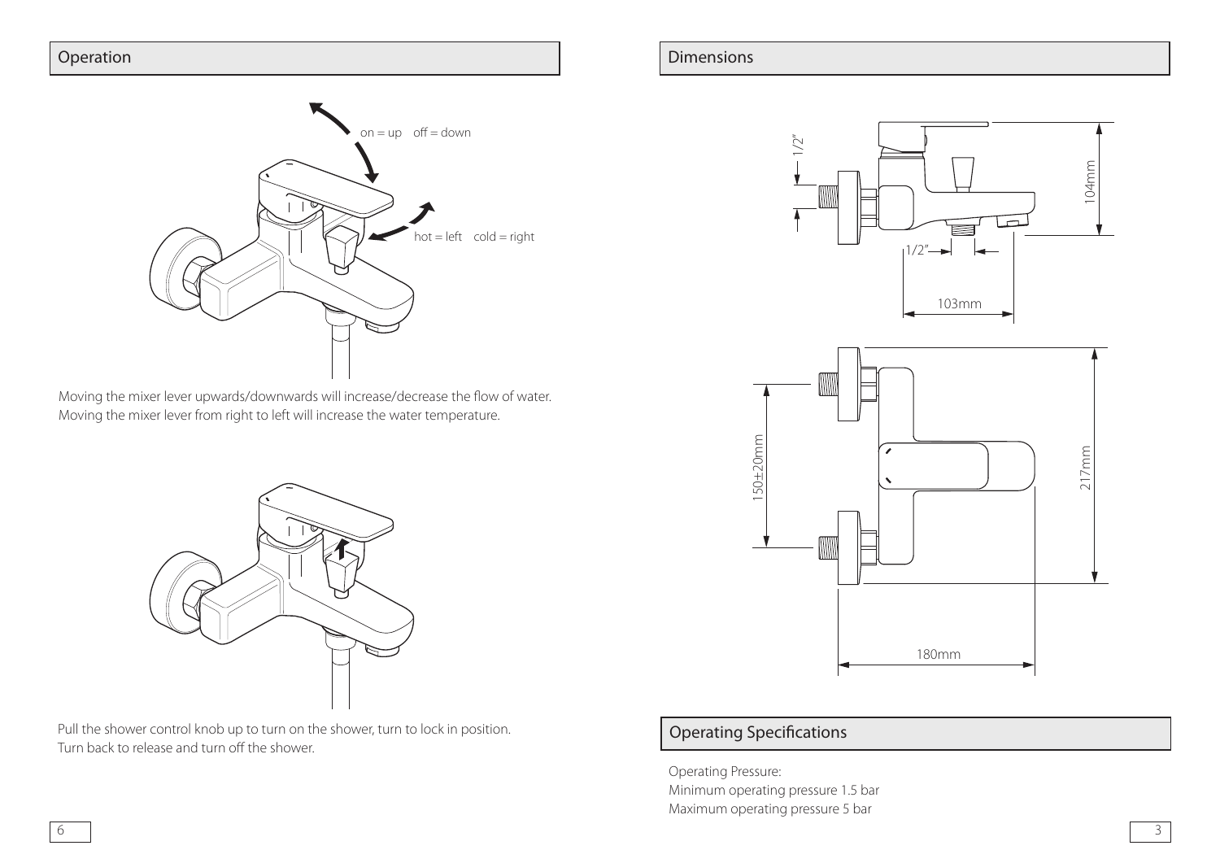

Moving the mixer lever upwards/downwards will increase/decrease the flow of water. Moving the mixer lever from right to left will increase the water temperature.

Pull the shower control knob up to turn on the shower, turn to lock in position. Turn back to release and turn off the shower.

#### Operation **Dimensions Operation Dimensions**





# Operating Specifications

Operating Pressure: Minimum operating pressure 1.5 bar Maximum operating pressure 5 bar